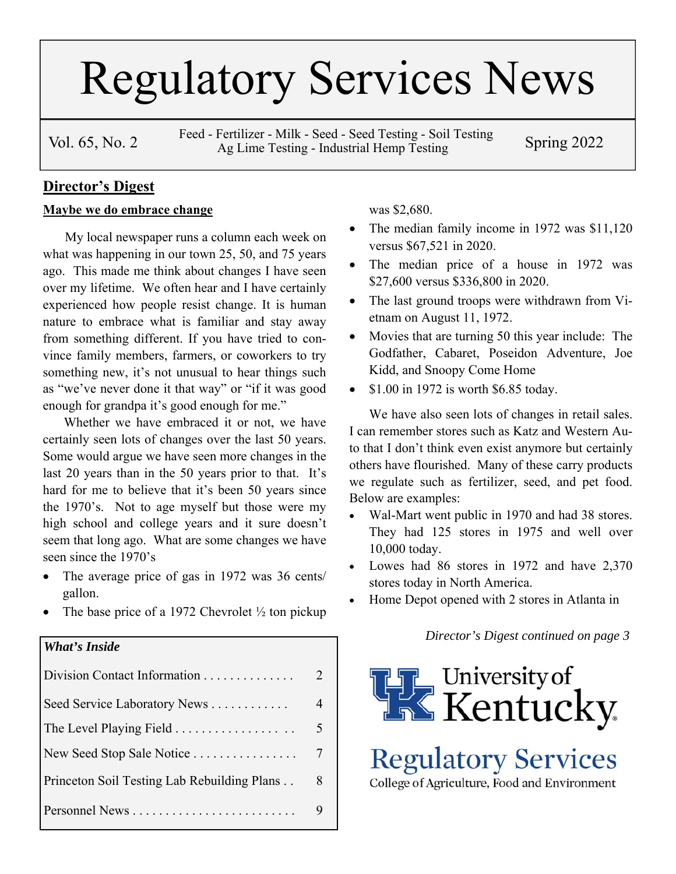# Regulatory Services News

Vol. 65, No. 2 Feed - Fertilizer - Milk - Seed - Seed Testing - Soil Testing Spring 2022 Ag Lime Testing - Industrial Hemp Testing

#### **Director's Digest**

#### **Maybe we do embrace change**

 My local newspaper runs a column each week on what was happening in our town 25, 50, and 75 years ago. This made me think about changes I have seen over my lifetime. We often hear and I have certainly experienced how people resist change. It is human nature to embrace what is familiar and stay away from something different. If you have tried to convince family members, farmers, or coworkers to try something new, it's not unusual to hear things such as "we've never done it that way" or "if it was good enough for grandpa it's good enough for me."

 Whether we have embraced it or not, we have certainly seen lots of changes over the last 50 years. Some would argue we have seen more changes in the last 20 years than in the 50 years prior to that. It's hard for me to believe that it's been 50 years since the 1970's. Not to age myself but those were my high school and college years and it sure doesn't seem that long ago. What are some changes we have seen since the 1970's

- The average price of gas in 1972 was 36 cents/ gallon.
- The base price of a 1972 Chevrolet ½ ton pickup

#### *What's Inside*

| Division Contact Information                             |   |
|----------------------------------------------------------|---|
| Seed Service Laboratory News                             |   |
| The Level Playing Field $\dots\dots\dots\dots\dots\dots$ |   |
| New Seed Stop Sale Notice                                |   |
| Princeton Soil Testing Lab Rebuilding Plans              | 8 |
|                                                          |   |

was \$2,680.

- The median family income in 1972 was \$11,120 versus \$67,521 in 2020.
- The median price of a house in 1972 was \$27,600 versus \$336,800 in 2020.
- The last ground troops were withdrawn from Vietnam on August 11, 1972.
- Movies that are turning 50 this year include: The Godfather, Cabaret, Poseidon Adventure, Joe Kidd, and Snoopy Come Home
- $\bullet$  \$1.00 in 1972 is worth \$6.85 today.

We have also seen lots of changes in retail sales. I can remember stores such as Katz and Western Auto that I don't think even exist anymore but certainly others have flourished. Many of these carry products we regulate such as fertilizer, seed, and pet food. Below are examples:

- Wal-Mart went public in 1970 and had 38 stores. They had 125 stores in 1975 and well over 10,000 today.
- Lowes had 86 stores in 1972 and have 2,370 stores today in North America.
- Home Depot opened with 2 stores in Atlanta in

*Director's Digest continued on page 3* 



**Regulatory Services** 

College of Agriculture, Food and Environment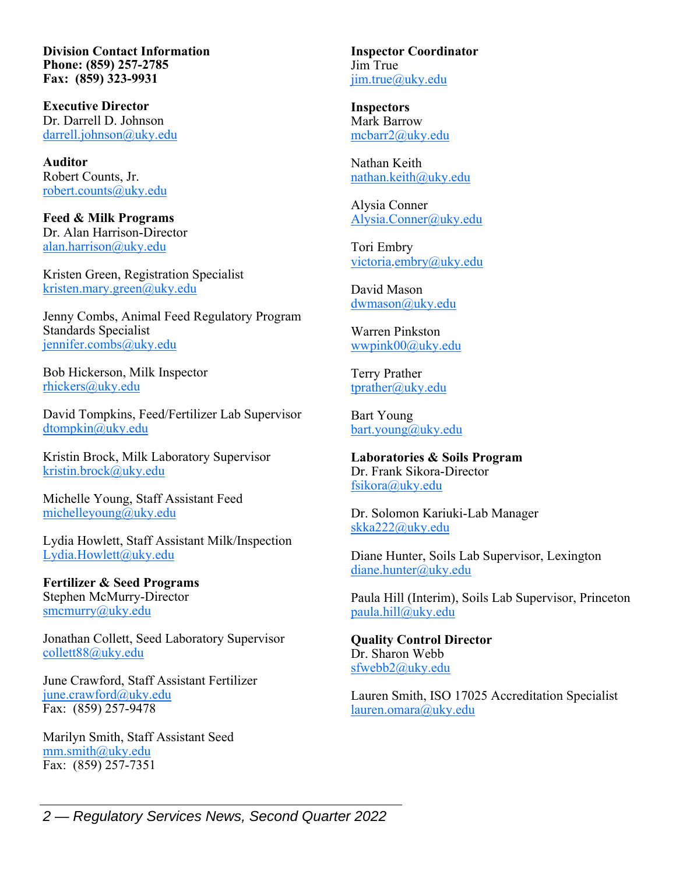**Division Contact Information Phone: (859) 257-2785 Fax: (859) 323-9931** 

**Executive Director**  Dr. Darrell D. Johnson darrell.johnson@uky.edu

**Auditor**  Robert Counts, Jr. robert.counts@uky.edu

**Feed & Milk Programs**  Dr. Alan Harrison-Director alan.harrison@uky.edu

Kristen Green, Registration Specialist kristen.mary.green@uky.edu

Jenny Combs, Animal Feed Regulatory Program Standards Specialist jennifer.combs@uky.edu

Bob Hickerson, Milk Inspector rhickers@uky.edu

David Tompkins, Feed/Fertilizer Lab Supervisor dtompkin@uky.edu

Kristin Brock, Milk Laboratory Supervisor kristin.brock@uky.edu

Michelle Young, Staff Assistant Feed michelleyoung@uky.edu

Lydia Howlett, Staff Assistant Milk/Inspection Lydia.Howlett@uky.edu

**Fertilizer & Seed Programs**  Stephen McMurry-Director smcmurry@uky.edu

Jonathan Collett, Seed Laboratory Supervisor collett88@uky.edu

June Crawford, Staff Assistant Fertilizer june.crawford@uky.edu Fax: (859) 257-9478

Marilyn Smith, Staff Assistant Seed mm.smith@uky.edu Fax: (859) 257-7351

**Inspector Coordinator**  Jim True jim.true@uky.edu

**Inspectors**  Mark Barrow mcbarr2@uky.edu

Nathan Keith nathan.keith@uky.edu

Alysia Conner Alysia.Conner@uky.edu

Tori Embry victoria.embry@uky.edu

David Mason dwmason@uky.edu

Warren Pinkston wwpink00@uky.edu

Terry Prather tprather@uky.edu

Bart Young bart.young@uky.edu

**Laboratories & Soils Program**  Dr. Frank Sikora-Director fsikora@uky.edu

Dr. Solomon Kariuki-Lab Manager skka222@uky.edu

Diane Hunter, Soils Lab Supervisor, Lexington diane.hunter@uky.edu

Paula Hill (Interim), Soils Lab Supervisor, Princeton paula.hill@uky.edu

**Quality Control Director**  Dr. Sharon Webb sfwebb2@uky.edu

Lauren Smith, ISO 17025 Accreditation Specialist lauren.omara@uky.edu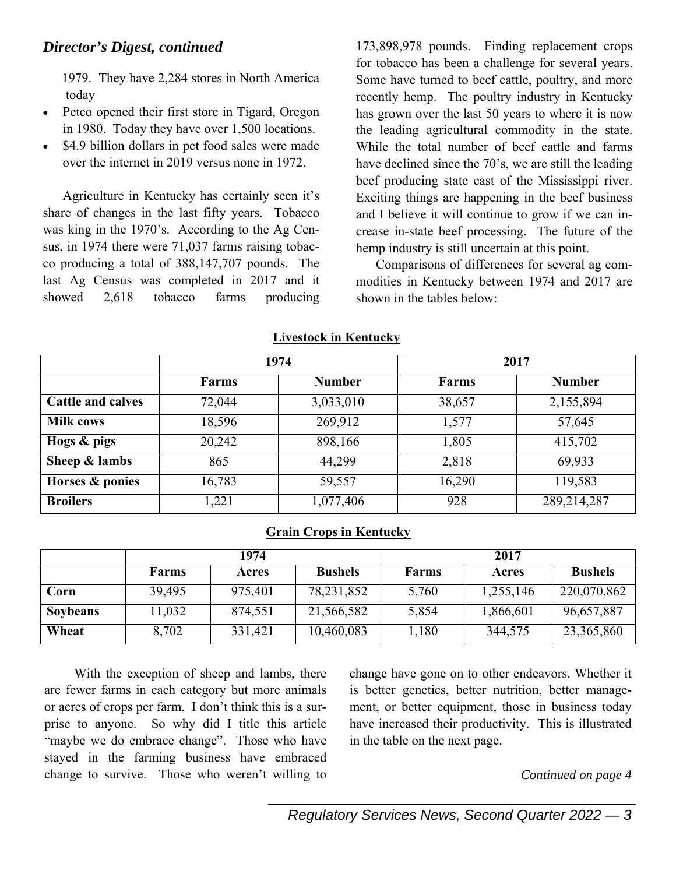1979. They have 2,284 stores in North America today

- Petco opened their first store in Tigard, Oregon in 1980. Today they have over 1,500 locations.
- \$4.9 billion dollars in pet food sales were made over the internet in 2019 versus none in 1972.

Agriculture in Kentucky has certainly seen it's share of changes in the last fifty years. Tobacco was king in the 1970's. According to the Ag Census, in 1974 there were 71,037 farms raising tobacco producing a total of 388,147,707 pounds. The last Ag Census was completed in 2017 and it showed 2,618 tobacco farms producing

173,898,978 pounds. Finding replacement crops for tobacco has been a challenge for several years. Some have turned to beef cattle, poultry, and more recently hemp. The poultry industry in Kentucky has grown over the last 50 years to where it is now the leading agricultural commodity in the state. While the total number of beef cattle and farms have declined since the 70's, we are still the leading beef producing state east of the Mississippi river. Exciting things are happening in the beef business and I believe it will continue to grow if we can increase in-state beef processing. The future of the hemp industry is still uncertain at this point.

Comparisons of differences for several ag commodities in Kentucky between 1974 and 2017 are shown in the tables below:

|                          | 1974         |               |              | 2017          |
|--------------------------|--------------|---------------|--------------|---------------|
|                          | <b>Farms</b> | <b>Number</b> | <b>Farms</b> | <b>Number</b> |
| <b>Cattle and calves</b> | 72,044       | 3,033,010     | 38,657       | 2,155,894     |
| <b>Milk cows</b>         | 18,596       | 269,912       | 1,577        | 57,645        |
| Hogs & pigs              | 20,242       | 898,166       | 1,805        | 415,702       |
| Sheep $&$ lambs          | 865          | 44,299        | 2,818        | 69,933        |
| Horses & ponies          | 16,783       | 59,557        | 16,290       | 119,583       |
| <b>Broilers</b>          | 1,221        | 1,077,406     | 928          | 289,214,287   |

#### **Livestock in Kentucky**

#### **Grain Crops in Kentucky**

|                 |        | 1974    |                | 2017  |           |                |
|-----------------|--------|---------|----------------|-------|-----------|----------------|
|                 | Farms  | Acres   | <b>Bushels</b> | Farms | Acres     | <b>Bushels</b> |
| Corn            | 39,495 | 975,401 | 78, 231, 852   | 5,760 | 1,255,146 | 220,070,862    |
| <b>Soybeans</b> | 11,032 | 874,551 | 21,566,582     | 5,854 | 1,866,601 | 96,657,887     |
| Wheat           | 8,702  | 331,421 | 10,460,083     | 1,180 | 344,575   | 23,365,860     |

 With the exception of sheep and lambs, there are fewer farms in each category but more animals or acres of crops per farm. I don't think this is a surprise to anyone. So why did I title this article "maybe we do embrace change". Those who have stayed in the farming business have embraced change to survive. Those who weren't willing to change have gone on to other endeavors. Whether it is better genetics, better nutrition, better management, or better equipment, those in business today have increased their productivity. This is illustrated in the table on the next page.

#### *Continued on page 4*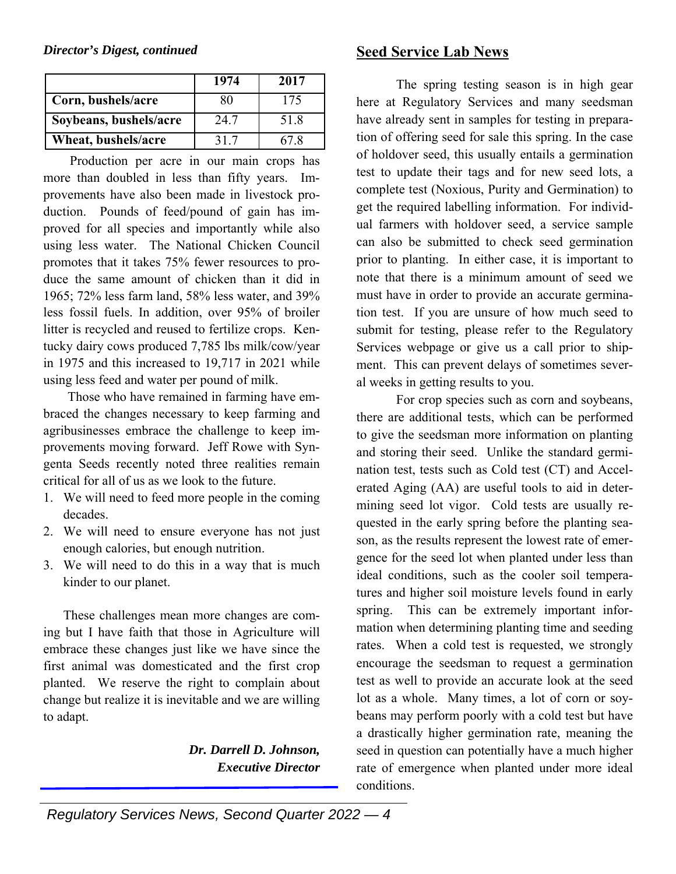|                        | 1974 | 2017 |
|------------------------|------|------|
| Corn, bushels/acre     | 80   | 175  |
| Soybeans, bushels/acre | 24.7 | 51.8 |
| Wheat, bushels/acre    | 31.7 |      |

 Production per acre in our main crops has more than doubled in less than fifty years. Improvements have also been made in livestock production. Pounds of feed/pound of gain has improved for all species and importantly while also using less water. The National Chicken Council promotes that it takes 75% fewer resources to produce the same amount of chicken than it did in 1965; 72% less farm land, 58% less water, and 39% less fossil fuels. In addition, over 95% of broiler litter is recycled and reused to fertilize crops. Kentucky dairy cows produced 7,785 lbs milk/cow/year in 1975 and this increased to 19,717 in 2021 while using less feed and water per pound of milk.

 Those who have remained in farming have embraced the changes necessary to keep farming and agribusinesses embrace the challenge to keep improvements moving forward. Jeff Rowe with Syngenta Seeds recently noted three realities remain critical for all of us as we look to the future.

- 1. We will need to feed more people in the coming decades.
- 2. We will need to ensure everyone has not just enough calories, but enough nutrition.
- 3. We will need to do this in a way that is much kinder to our planet.

These challenges mean more changes are coming but I have faith that those in Agriculture will embrace these changes just like we have since the first animal was domesticated and the first crop planted. We reserve the right to complain about change but realize it is inevitable and we are willing to adapt.

> *Dr. Darrell D. Johnson, Executive Director*

# **Seed Service Lab News**

The spring testing season is in high gear here at Regulatory Services and many seedsman have already sent in samples for testing in preparation of offering seed for sale this spring. In the case of holdover seed, this usually entails a germination test to update their tags and for new seed lots, a complete test (Noxious, Purity and Germination) to get the required labelling information. For individual farmers with holdover seed, a service sample can also be submitted to check seed germination prior to planting. In either case, it is important to note that there is a minimum amount of seed we must have in order to provide an accurate germination test. If you are unsure of how much seed to submit for testing, please refer to the Regulatory Services webpage or give us a call prior to shipment. This can prevent delays of sometimes several weeks in getting results to you.

For crop species such as corn and soybeans, there are additional tests, which can be performed to give the seedsman more information on planting and storing their seed. Unlike the standard germination test, tests such as Cold test (CT) and Accelerated Aging (AA) are useful tools to aid in determining seed lot vigor. Cold tests are usually requested in the early spring before the planting season, as the results represent the lowest rate of emergence for the seed lot when planted under less than ideal conditions, such as the cooler soil temperatures and higher soil moisture levels found in early spring. This can be extremely important information when determining planting time and seeding rates. When a cold test is requested, we strongly encourage the seedsman to request a germination test as well to provide an accurate look at the seed lot as a whole. Many times, a lot of corn or soybeans may perform poorly with a cold test but have a drastically higher germination rate, meaning the seed in question can potentially have a much higher rate of emergence when planted under more ideal conditions.

 *Regulatory Services News, Second Quarter 2022 — 4*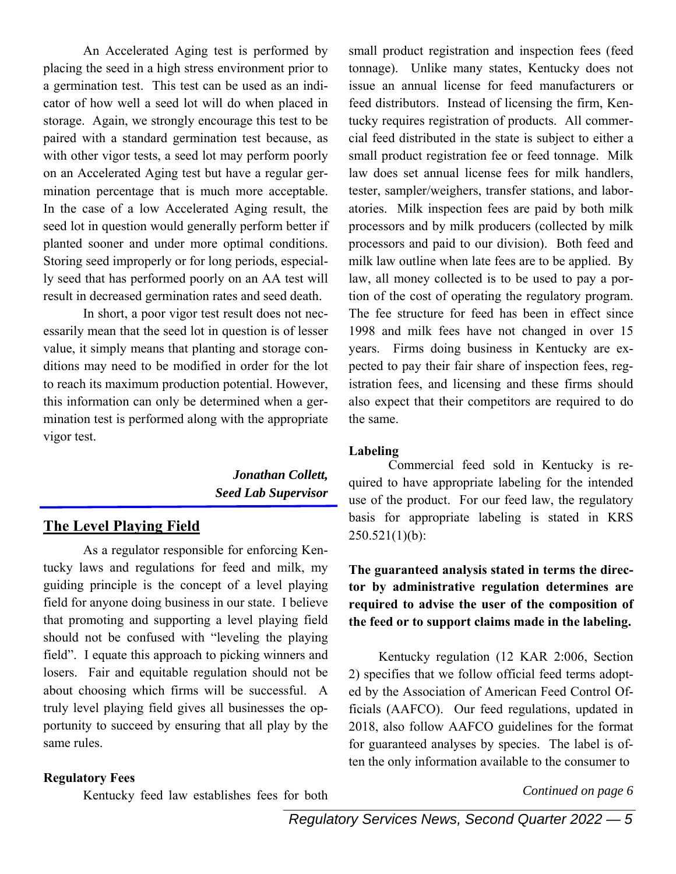An Accelerated Aging test is performed by placing the seed in a high stress environment prior to a germination test. This test can be used as an indicator of how well a seed lot will do when placed in storage. Again, we strongly encourage this test to be paired with a standard germination test because, as with other vigor tests, a seed lot may perform poorly on an Accelerated Aging test but have a regular germination percentage that is much more acceptable. In the case of a low Accelerated Aging result, the seed lot in question would generally perform better if planted sooner and under more optimal conditions. Storing seed improperly or for long periods, especially seed that has performed poorly on an AA test will result in decreased germination rates and seed death.

In short, a poor vigor test result does not necessarily mean that the seed lot in question is of lesser value, it simply means that planting and storage conditions may need to be modified in order for the lot to reach its maximum production potential. However, this information can only be determined when a germination test is performed along with the appropriate vigor test.

> *Jonathan Collett, Seed Lab Supervisor*

### **The Level Playing Field**

As a regulator responsible for enforcing Kentucky laws and regulations for feed and milk, my guiding principle is the concept of a level playing field for anyone doing business in our state. I believe that promoting and supporting a level playing field should not be confused with "leveling the playing field". I equate this approach to picking winners and losers. Fair and equitable regulation should not be about choosing which firms will be successful. A truly level playing field gives all businesses the opportunity to succeed by ensuring that all play by the same rules.

#### **Regulatory Fees**

Kentucky feed law establishes fees for both

small product registration and inspection fees (feed tonnage). Unlike many states, Kentucky does not issue an annual license for feed manufacturers or feed distributors. Instead of licensing the firm, Kentucky requires registration of products. All commercial feed distributed in the state is subject to either a small product registration fee or feed tonnage. Milk law does set annual license fees for milk handlers, tester, sampler/weighers, transfer stations, and laboratories. Milk inspection fees are paid by both milk processors and by milk producers (collected by milk processors and paid to our division). Both feed and milk law outline when late fees are to be applied. By law, all money collected is to be used to pay a portion of the cost of operating the regulatory program. The fee structure for feed has been in effect since 1998 and milk fees have not changed in over 15 years. Firms doing business in Kentucky are expected to pay their fair share of inspection fees, registration fees, and licensing and these firms should also expect that their competitors are required to do the same.

#### **Labeling**

Commercial feed sold in Kentucky is required to have appropriate labeling for the intended use of the product. For our feed law, the regulatory basis for appropriate labeling is stated in KRS  $250.521(1)(b):$ 

#### **The guaranteed analysis stated in terms the director by administrative regulation determines are required to advise the user of the composition of the feed or to support claims made in the labeling.**

 Kentucky regulation (12 KAR 2:006, Section 2) specifies that we follow official feed terms adopted by the Association of American Feed Control Officials (AAFCO). Our feed regulations, updated in 2018, also follow AAFCO guidelines for the format for guaranteed analyses by species. The label is often the only information available to the consumer to

*Continued on page 6*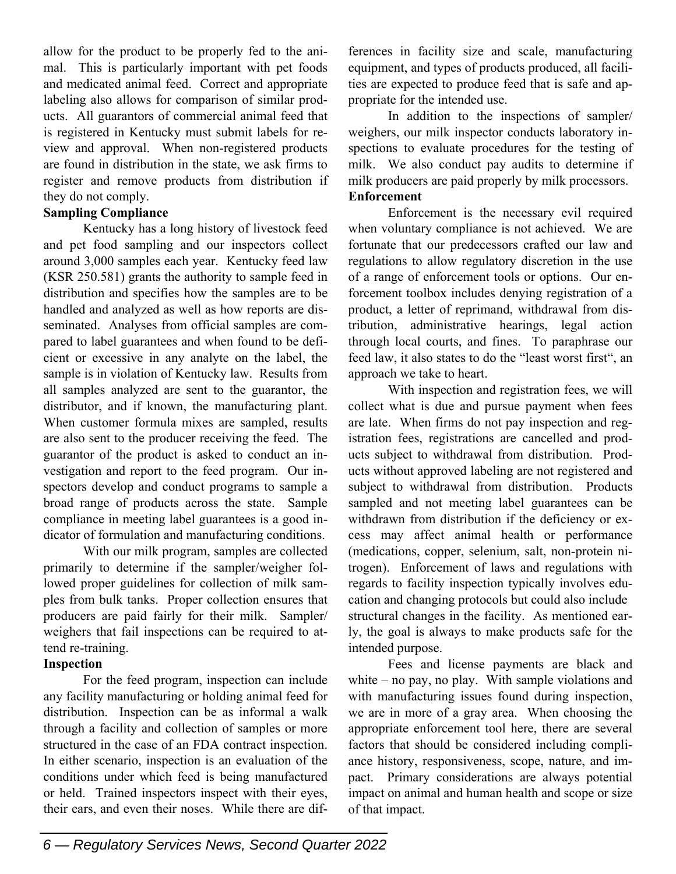allow for the product to be properly fed to the animal. This is particularly important with pet foods and medicated animal feed. Correct and appropriate labeling also allows for comparison of similar products. All guarantors of commercial animal feed that is registered in Kentucky must submit labels for review and approval. When non-registered products are found in distribution in the state, we ask firms to register and remove products from distribution if they do not comply.

#### **Sampling Compliance**

Kentucky has a long history of livestock feed and pet food sampling and our inspectors collect around 3,000 samples each year. Kentucky feed law (KSR 250.581) grants the authority to sample feed in distribution and specifies how the samples are to be handled and analyzed as well as how reports are disseminated. Analyses from official samples are compared to label guarantees and when found to be deficient or excessive in any analyte on the label, the sample is in violation of Kentucky law. Results from all samples analyzed are sent to the guarantor, the distributor, and if known, the manufacturing plant. When customer formula mixes are sampled, results are also sent to the producer receiving the feed. The guarantor of the product is asked to conduct an investigation and report to the feed program. Our inspectors develop and conduct programs to sample a broad range of products across the state. Sample compliance in meeting label guarantees is a good indicator of formulation and manufacturing conditions.

With our milk program, samples are collected primarily to determine if the sampler/weigher followed proper guidelines for collection of milk samples from bulk tanks. Proper collection ensures that producers are paid fairly for their milk. Sampler/ weighers that fail inspections can be required to attend re-training.

#### **Inspection**

For the feed program, inspection can include any facility manufacturing or holding animal feed for distribution. Inspection can be as informal a walk through a facility and collection of samples or more structured in the case of an FDA contract inspection. In either scenario, inspection is an evaluation of the conditions under which feed is being manufactured or held. Trained inspectors inspect with their eyes, their ears, and even their noses. While there are differences in facility size and scale, manufacturing equipment, and types of products produced, all facilities are expected to produce feed that is safe and appropriate for the intended use.

In addition to the inspections of sampler/ weighers, our milk inspector conducts laboratory inspections to evaluate procedures for the testing of milk. We also conduct pay audits to determine if milk producers are paid properly by milk processors. **Enforcement** 

Enforcement is the necessary evil required when voluntary compliance is not achieved. We are fortunate that our predecessors crafted our law and regulations to allow regulatory discretion in the use of a range of enforcement tools or options. Our enforcement toolbox includes denying registration of a product, a letter of reprimand, withdrawal from distribution, administrative hearings, legal action through local courts, and fines. To paraphrase our feed law, it also states to do the "least worst first", an approach we take to heart.

With inspection and registration fees, we will collect what is due and pursue payment when fees are late. When firms do not pay inspection and registration fees, registrations are cancelled and products subject to withdrawal from distribution. Products without approved labeling are not registered and subject to withdrawal from distribution. Products sampled and not meeting label guarantees can be withdrawn from distribution if the deficiency or excess may affect animal health or performance (medications, copper, selenium, salt, non-protein nitrogen). Enforcement of laws and regulations with regards to facility inspection typically involves education and changing protocols but could also include structural changes in the facility. As mentioned early, the goal is always to make products safe for the intended purpose.

Fees and license payments are black and white – no pay, no play. With sample violations and with manufacturing issues found during inspection, we are in more of a gray area. When choosing the appropriate enforcement tool here, there are several factors that should be considered including compliance history, responsiveness, scope, nature, and impact. Primary considerations are always potential impact on animal and human health and scope or size of that impact.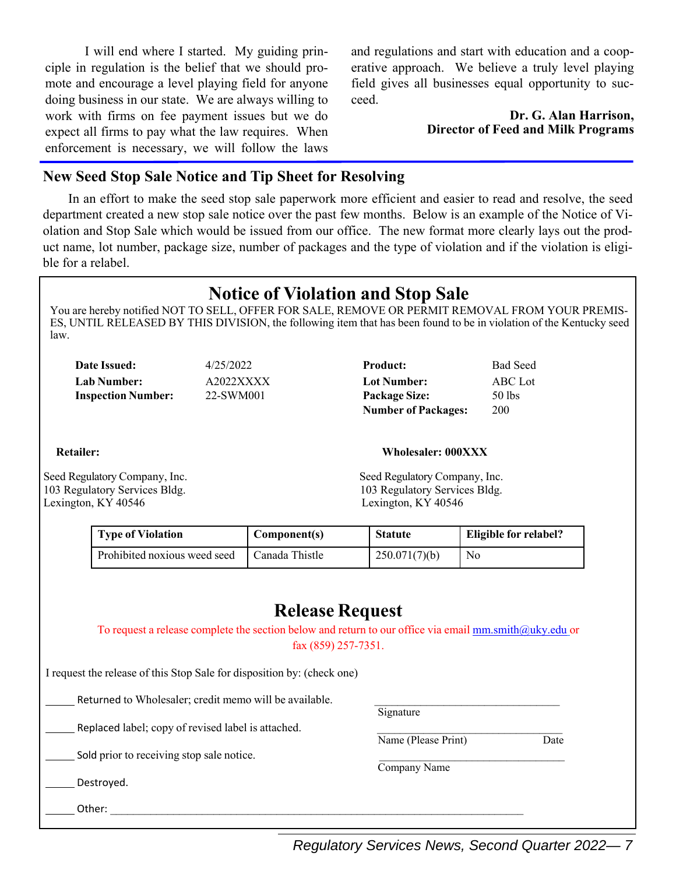I will end where I started. My guiding principle in regulation is the belief that we should promote and encourage a level playing field for anyone doing business in our state. We are always willing to work with firms on fee payment issues but we do expect all firms to pay what the law requires. When enforcement is necessary, we will follow the laws and regulations and start with education and a cooperative approach. We believe a truly level playing field gives all businesses equal opportunity to succeed.

> **Dr. G. Alan Harrison, Director of Feed and Milk Programs**

#### **New Seed Stop Sale Notice and Tip Sheet for Resolving**

 In an effort to make the seed stop sale paperwork more efficient and easier to read and resolve, the seed department created a new stop sale notice over the past few months. Below is an example of the Notice of Violation and Stop Sale which would be issued from our office. The new format more clearly lays out the product name, lot number, package size, number of packages and the type of violation and if the violation is eligible for a relabel.

# **Notice of Violation and Stop Sale**

You are hereby notified NOT TO SELL, OFFER FOR SALE, REMOVE OR PERMIT REMOVAL FROM YOUR PREMIS-ES, UNTIL RELEASED BY THIS DIVISION, the following item that has been found to be in violation of the Kentucky seed law.

| <b>Date Issued:</b>       | 4/25/2022 | <b>Product:</b>      | <b>Bad Seed</b> |
|---------------------------|-----------|----------------------|-----------------|
| <b>Lab Number:</b>        | A2022XXXX | Lot Number:          | ABC Lot         |
| <b>Inspection Number:</b> | 22-SWM001 | <b>Package Size:</b> | $50$ lbs        |

| Product:                   | <b>Bad Seed</b> |
|----------------------------|-----------------|
| <b>Lot Number:</b>         | <b>ABC</b> Lot  |
| <b>Package Size:</b>       | $50$ lbs        |
| <b>Number of Packages:</b> | 200             |

#### **Retailer: Wholesaler: 000XXX**

Seed Regulatory Company, Inc. Seed Regulatory Company, Inc. 103 Regulatory Services Bldg. 103 Regulatory Services Bldg. Lexington, KY 40546 Lexington, KY 40546

**Signature** 

Name (Please Print)

Company Name

| <b>Type of Violation</b>     | Component(s)   | <b>Statute</b> | Eligible for relabel? |
|------------------------------|----------------|----------------|-----------------------|
| Prohibited noxious weed seed | Canada Thistle | 250.071(7)(b)  | No                    |

# **Release Request**

To request a release complete the section below and return to our office via email mm.smith@uky.edu or fax (859) 257‐7351.

I request the release of this Stop Sale for disposition by: (check one)

Returned to Wholesaler; credit memo will be available.

Replaced label; copy of revised label is attached.<br>Name (Please Print) Date

Sold prior to receiving stop sale notice.

Destroyed.

Other: \_\_\_\_\_\_\_\_\_\_\_\_\_\_\_\_\_\_\_\_\_\_\_\_\_\_\_\_\_\_\_\_\_\_\_\_\_\_\_\_\_\_\_\_\_\_\_\_\_\_\_\_\_\_\_\_\_\_\_\_\_\_\_\_\_\_\_\_\_\_\_\_

*Regulatory Services News, Second Quarter 2022— 7*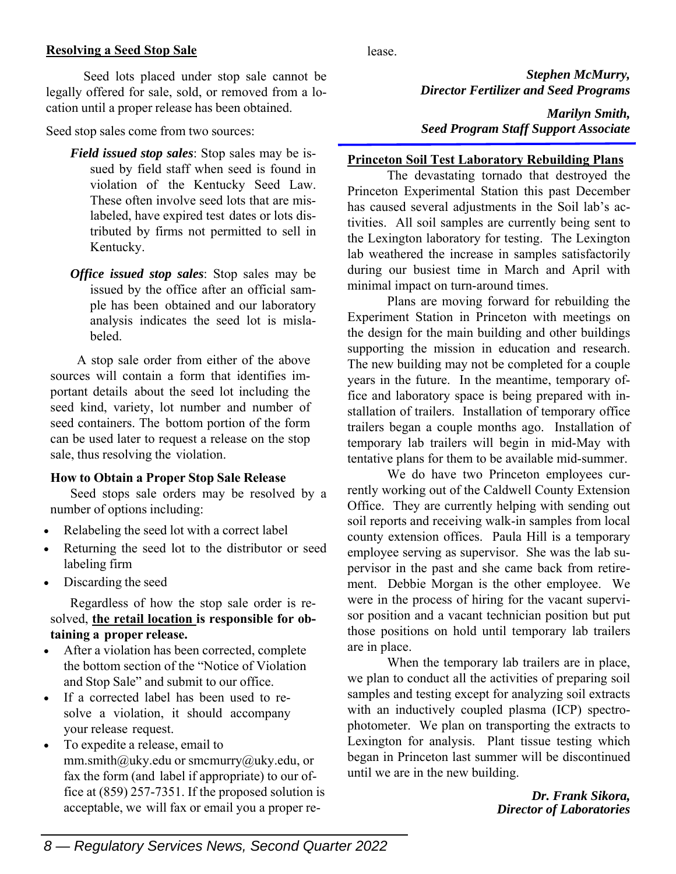#### **Resolving a Seed Stop Sale**

Seed lots placed under stop sale cannot be legally offered for sale, sold, or removed from a location until a proper release has been obtained.

Seed stop sales come from two sources:

- *Field issued stop sales*: Stop sales may be issued by field staff when seed is found in violation of the Kentucky Seed Law. These often involve seed lots that are mislabeled, have expired test dates or lots distributed by firms not permitted to sell in Kentucky.
- *Office issued stop sales*: Stop sales may be issued by the office after an official sample has been obtained and our laboratory analysis indicates the seed lot is mislabeled.

 A stop sale order from either of the above sources will contain a form that identifies important details about the seed lot including the seed kind, variety, lot number and number of seed containers. The bottom portion of the form can be used later to request a release on the stop sale, thus resolving the violation.

# **How to Obtain a Proper Stop Sale Release**

 Seed stops sale orders may be resolved by a number of options including:

- Relabeling the seed lot with a correct label
- Returning the seed lot to the distributor or seed labeling firm
- Discarding the seed

 Regardless of how the stop sale order is resolved, **the retail location is responsible for obtaining a proper release.**

- After a violation has been corrected, complete the bottom section of the "Notice of Violation and Stop Sale" and submit to our office.
- If a corrected label has been used to resolve a violation, it should accompany your release request.
- To expedite a release, email to mm.smith@uky.edu or smcmurry@uky.edu, or fax the form (and label if appropriate) to our office at (859) 257‐7351. If the proposed solution is acceptable, we will fax or email you a proper re-

lease.

*Stephen McMurry, Director Fertilizer and Seed Programs* 

*Marilyn Smith, Seed Program Staff Support Associate* 

## **Princeton Soil Test Laboratory Rebuilding Plans**

The devastating tornado that destroyed the Princeton Experimental Station this past December has caused several adjustments in the Soil lab's activities. All soil samples are currently being sent to the Lexington laboratory for testing. The Lexington lab weathered the increase in samples satisfactorily during our busiest time in March and April with minimal impact on turn-around times.

Plans are moving forward for rebuilding the Experiment Station in Princeton with meetings on the design for the main building and other buildings supporting the mission in education and research. The new building may not be completed for a couple years in the future. In the meantime, temporary office and laboratory space is being prepared with installation of trailers. Installation of temporary office trailers began a couple months ago. Installation of temporary lab trailers will begin in mid-May with tentative plans for them to be available mid-summer.

We do have two Princeton employees currently working out of the Caldwell County Extension Office. They are currently helping with sending out soil reports and receiving walk-in samples from local county extension offices. Paula Hill is a temporary employee serving as supervisor. She was the lab supervisor in the past and she came back from retirement. Debbie Morgan is the other employee. We were in the process of hiring for the vacant supervisor position and a vacant technician position but put those positions on hold until temporary lab trailers are in place.

When the temporary lab trailers are in place, we plan to conduct all the activities of preparing soil samples and testing except for analyzing soil extracts with an inductively coupled plasma (ICP) spectrophotometer. We plan on transporting the extracts to Lexington for analysis. Plant tissue testing which began in Princeton last summer will be discontinued until we are in the new building.

> *Dr. Frank Sikora, Director of Laboratories*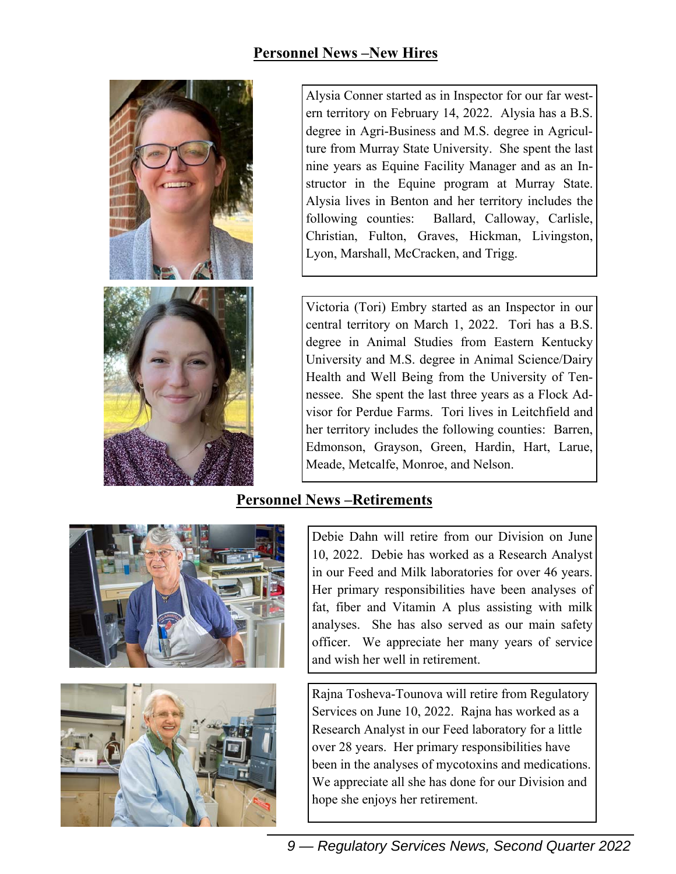# **Personnel News –New Hires**





Alysia Conner started as in Inspector for our far western territory on February 14, 2022. Alysia has a B.S. degree in Agri-Business and M.S. degree in Agriculture from Murray State University. She spent the last nine years as Equine Facility Manager and as an Instructor in the Equine program at Murray State. Alysia lives in Benton and her territory includes the following counties: Ballard, Calloway, Carlisle, Christian, Fulton, Graves, Hickman, Livingston, Lyon, Marshall, McCracken, and Trigg.

Victoria (Tori) Embry started as an Inspector in our central territory on March 1, 2022. Tori has a B.S. degree in Animal Studies from Eastern Kentucky University and M.S. degree in Animal Science/Dairy Health and Well Being from the University of Tennessee. She spent the last three years as a Flock Advisor for Perdue Farms. Tori lives in Leitchfield and her territory includes the following counties: Barren, Edmonson, Grayson, Green, Hardin, Hart, Larue, Meade, Metcalfe, Monroe, and Nelson.

# **Personnel News –Retirements**





Debie Dahn will retire from our Division on June 10, 2022. Debie has worked as a Research Analyst in our Feed and Milk laboratories for over 46 years. Her primary responsibilities have been analyses of fat, fiber and Vitamin A plus assisting with milk analyses. She has also served as our main safety officer. We appreciate her many years of service and wish her well in retirement.

Rajna Tosheva-Tounova will retire from Regulatory Services on June 10, 2022. Rajna has worked as a Research Analyst in our Feed laboratory for a little over 28 years. Her primary responsibilities have been in the analyses of mycotoxins and medications. We appreciate all she has done for our Division and hope she enjoys her retirement.